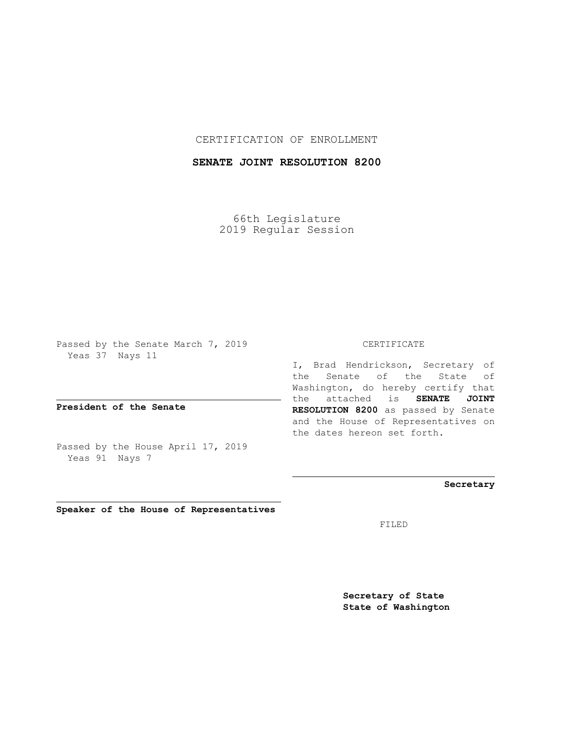CERTIFICATION OF ENROLLMENT

## **SENATE JOINT RESOLUTION 8200**

66th Legislature 2019 Regular Session

Passed by the Senate March 7, 2019 Yeas 37 Nays 11

**President of the Senate**

Passed by the House April 17, 2019 Yeas 91 Nays 7

**Speaker of the House of Representatives**

## CERTIFICATE

I, Brad Hendrickson, Secretary of the Senate of the State of Washington, do hereby certify that the attached is **SENATE JOINT RESOLUTION 8200** as passed by Senate and the House of Representatives on the dates hereon set forth.

## **Secretary**

FILED

**Secretary of State State of Washington**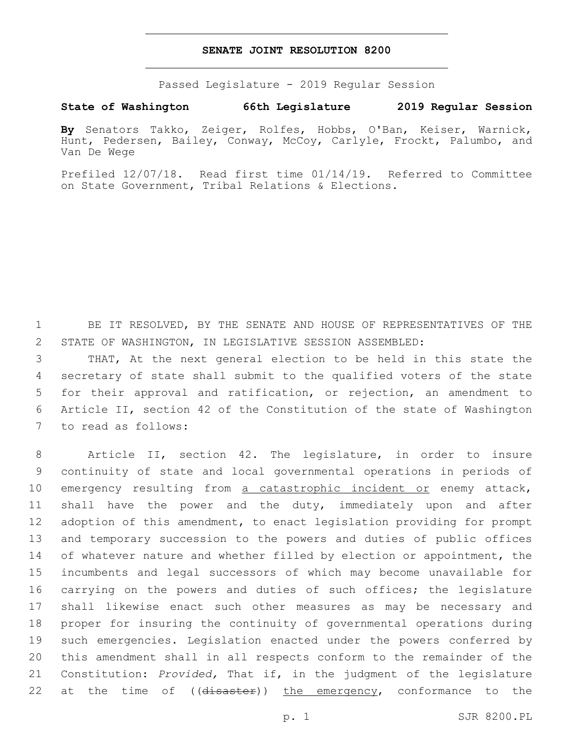Passed Legislature - 2019 Regular Session

## **State of Washington 66th Legislature 2019 Regular Session**

**By** Senators Takko, Zeiger, Rolfes, Hobbs, O'Ban, Keiser, Warnick, Hunt, Pedersen, Bailey, Conway, McCoy, Carlyle, Frockt, Palumbo, and Van De Wege

Prefiled 12/07/18. Read first time 01/14/19. Referred to Committee on State Government, Tribal Relations & Elections.

1 BE IT RESOLVED, BY THE SENATE AND HOUSE OF REPRESENTATIVES OF THE 2 STATE OF WASHINGTON, IN LEGISLATIVE SESSION ASSEMBLED:

 THAT, At the next general election to be held in this state the secretary of state shall submit to the qualified voters of the state for their approval and ratification, or rejection, an amendment to Article II, section 42 of the Constitution of the state of Washington 7 to read as follows:

 Article II, section 42. The legislature, in order to insure continuity of state and local governmental operations in periods of 10 emergency resulting from a catastrophic incident or enemy attack, shall have the power and the duty, immediately upon and after adoption of this amendment, to enact legislation providing for prompt and temporary succession to the powers and duties of public offices 14 of whatever nature and whether filled by election or appointment, the incumbents and legal successors of which may become unavailable for carrying on the powers and duties of such offices; the legislature shall likewise enact such other measures as may be necessary and proper for insuring the continuity of governmental operations during such emergencies. Legislation enacted under the powers conferred by this amendment shall in all respects conform to the remainder of the Constitution: *Provided,* That if, in the judgment of the legislature 22 at the time of ((disaster)) the emergency, conformance to the